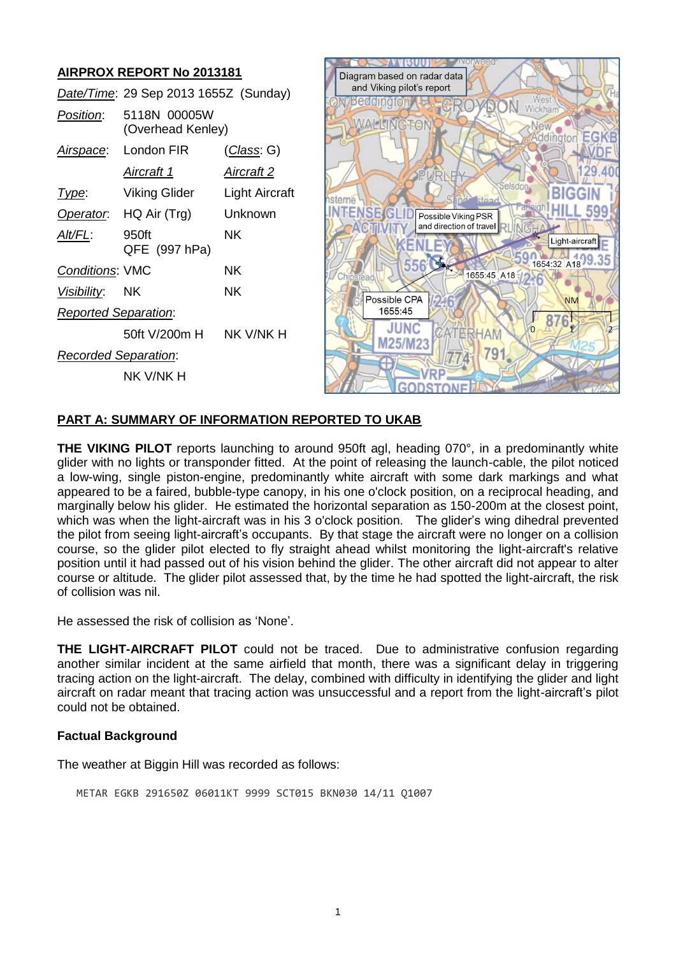# **AIRPROX REPORT No 2013181**

|                             | Date/Time: 29 Sep 2013 1655Z (Sunday) |                   |
|-----------------------------|---------------------------------------|-------------------|
| Position:                   | 5118N 00005W<br>(Overhead Kenley)     |                   |
|                             | Airspace: London FIR                  | (Class: G)        |
|                             | Aircraft 1                            | <u>Aircraft 2</u> |
| Type:                       | Viking Glider                         | Light Aircraft    |
|                             | Operator. HQ Air (Trg)                | Unknown           |
| Alt/FL:                     | 950ft<br>QFE (997 hPa)                | NK.               |
| <b>Conditions: VMC</b>      |                                       | ΝK                |
| Visibility: NK              |                                       | NΚ                |
| <b>Reported Separation:</b> |                                       |                   |
|                             | 50ft V/200m H                         | NK V/NK H         |
| <b>Recorded Separation:</b> |                                       |                   |
|                             | nk v/nk h                             |                   |



#### **PART A: SUMMARY OF INFORMATION REPORTED TO UKAB**

**THE VIKING PILOT** reports launching to around 950ft agl, heading 070°, in a predominantly white glider with no lights or transponder fitted. At the point of releasing the launch-cable, the pilot noticed a low-wing, single piston-engine, predominantly white aircraft with some dark markings and what appeared to be a faired, bubble-type canopy, in his one o'clock position, on a reciprocal heading, and marginally below his glider. He estimated the horizontal separation as 150-200m at the closest point, which was when the light-aircraft was in his 3 o'clock position. The glider's wing dihedral prevented the pilot from seeing light-aircraft's occupants. By that stage the aircraft were no longer on a collision course, so the glider pilot elected to fly straight ahead whilst monitoring the light-aircraft's relative position until it had passed out of his vision behind the glider. The other aircraft did not appear to alter course or altitude. The glider pilot assessed that, by the time he had spotted the light-aircraft, the risk of collision was nil.

He assessed the risk of collision as 'None'.

**THE LIGHT-AIRCRAFT PILOT** could not be traced. Due to administrative confusion regarding another similar incident at the same airfield that month, there was a significant delay in triggering tracing action on the light-aircraft. The delay, combined with difficulty in identifying the glider and light aircraft on radar meant that tracing action was unsuccessful and a report from the light-aircraft's pilot could not be obtained.

## **Factual Background**

The weather at Biggin Hill was recorded as follows:

METAR EGKB 291650Z 06011KT 9999 SCT015 BKN030 14/11 Q1007